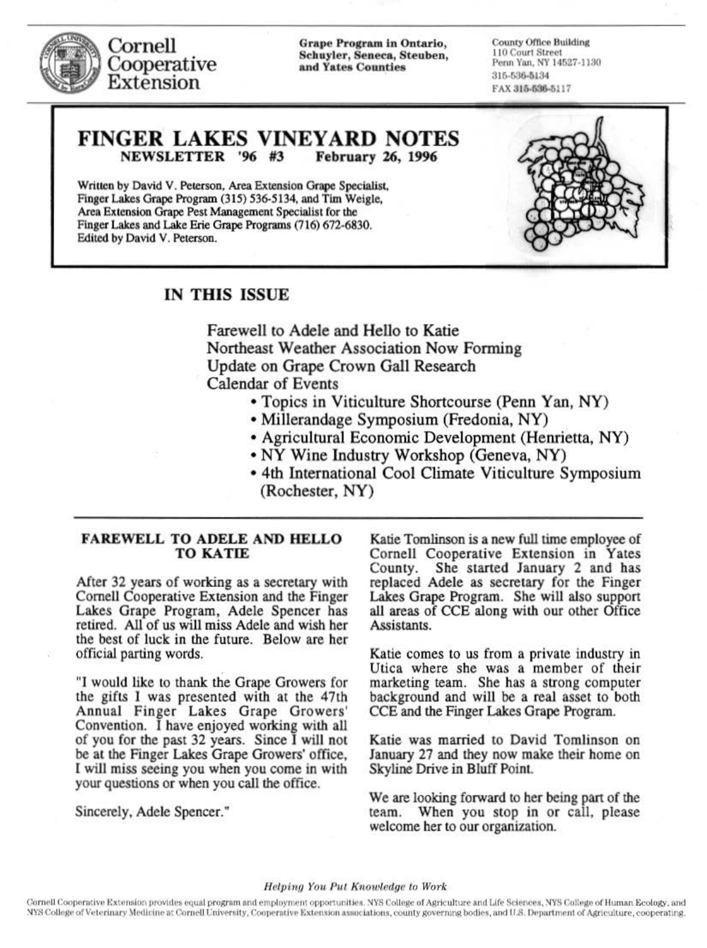

Cornell Cooperative Extension

Grape Progr&m ln Ontario, Schuyler, Seneca, Steuben, and Yates Counties

County Office Building II 0 Cour1 S1 ree1 Penn Yan, NY 14527-1130 316-636-3134 FAX 315-536-5117

## FINGER LAKES VINEYARD NOTES<br>NEWSLETTER '96 #3 February 26, 1996 NEWSLETTER '96 #3

Written by David V. Peterson, Area Extension Grape Specialist, Finger Lakes Grape Program (315) *S36-Sl34,* and Tim Weigle, Area Extension Grape Pest Management Specialist for the Finger Lakes and Lake Erie Grape Programs (716) 672-6830. Edited by David V. Peterson.



## IN THIS ISSUE

Farewell to Adele and Hello to Katie Northeast Weather Association Now Forming Update on Grape Crown Gall Research Calendar of Events

- Topics in Viticulture Shortcourse (Penn Yan, NY)
- Millerandage Symposium (Fredonia, NY)
- Agricultural Economic Development (Henrietta, NY)
- NY Wine Industry Workshop (Geneva, NY)
- 4th International Cool Climate Viticulture Symposium (Rochester, NY)

### FAREWELL TO ADELE AND HELLO TO KATIE

After 32 years of working as a secretary with Cornell Cooperative Extension and the Finger Lakes Grape Program, Adele Spencer has retired. All of us will miss Adele and wish her the best of luck in the future. Below are her official parting words.

"I would like to thank the Grape Growers for the gifts I was presented with at the 47th Annual Finger Lakes Grape Growers' Convention. I have enjoyed working with all of you for the past 32 years. Since I will not be at the Finger Lakes Grape Growers' office, I will miss seeing you when you come in with your questions or when you call the office.

Sincerely, Adele Spencer."

Katie Tomlinson is a new full time employee of Cornell Cooperative Extension in Yates County. She started January 2 and has replaced Adele as secretary for the Finger Lakes Grape Program. She will also support all areas of CCE along with our other Office Assistants.

Katie comes to us from a private industry in Utica where she was a member of their marketing team. She has a strong computer background and will be a real asset to both CCE and the Finger Lakes Grape Program.

Katie was married to David Tomlinson on January 27 and they now make their home on Skyline Drive in Bluff Point.

We are looking forward to her being part of the team. When you stop in or call, please welcome her to our organization.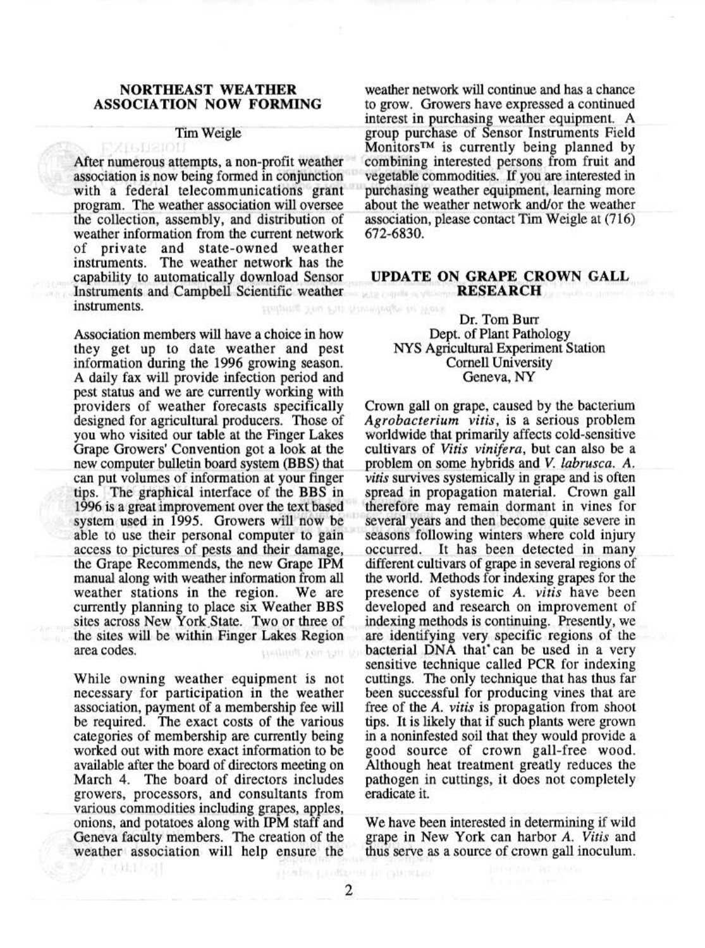#### NORTHEAST WEATHER ASSOCIATION NOW FORMING

# **Tim Weigle**

After numerous attempts, a non-profit weather association is now being formed in conjunction with a federal telecommunications grant program. The weather association will oversee the collection, assembly, and distribution of weather information from the current network of private and state-owned weather instruments. The weather network has the capability to automatically download. Sensor Instruments and Campbell Scientific weather instruments. statung in allowing the mag flankers

Association members will have a choice in how they get up to date weather and pest information during the 1996 growing season. A daily fax will provide infection period and pest status and we are currently working with providers of weather forecasts specifically designed for agricultural producers. Those of you who visited our table at the Finger Lakes Grape Growers' Convention got a look at the new computer bulletin board system (BBS) that . can put volumes of information at your finger tips. The graphical interface of the BBS in 1996 is a great improvement over the text based system used in 1995. Growers will now be able to use their personal computer to gain access to pictures of pests and their damage, the Grape Recommends, the new Grape IPM manual along with weather information from all weather stations in the region. We are currently planning to place six Weather BBS sites across New York.State. Two or three of the sites will be within Finger Lakes Region area codes. tandatolic xon sun te

While owning weather equipment is not necessary for participation in the weather association, payment of a membership fee will be required. The exact costs of the various categories of membership are currently being worked out with more exact information to be available after the board of directors meeting on March 4. The board of directors includes growers, processors, and consultants from various commodities including grapes, apples, onions, and potatoes along with IPM staff and Geneva faculty members. The creation of the weather association will help ensure the

全铁蛋白

weather network will continue and has a chance to grow. Growers have expressed a continued interest in purchasing weather equipment. A group purchase of Sensor Instruments Field Monitors™ is currently being planned by combining interested persons from fruit and vegetable commodities. If you are interested in purchasing weather equipment, learning more about the weather network and/or the weather association, please contact Tim Weigle at (716) 672-6830.

#### UPDATE ON GRAPE CROWN GALL RESEARCH

Dr. Tom Burr Dept. of Plant Pathology NYS Agricultural Experiment Station Cornell University Geneva, NY

Crown gall on grape, caused by the bacterium *Agrobacterium vi tis,* is a serious problem worldwide that primarily affects cold-sensitive cultivars of *Vitis vinifera,* but can also be a problem on some hybrids and *V. labrusca. A. vitis* survives systemically in grape and is often spread in propagation material. Crown gall therefore may remain dormant in vines for several years and then become quite severe in seasons following winters where cold injury occurred. It has been detected in many different cultivars of grape in several regions of the world. Methods for indexing grapes for the presence of systemic *A. vitis* have been developed and research on improvement of indexing methods is continuing. Presently, we are identifying very specific regions of the bacterial DNA that' can be used in a very sensitive technique called PCR for indexing cuttings. The only technique that has thus far been successful for producing vines that are free of the *A. vitis* is propagation from shoot tips. It is likely that if such plants were grown in a noninfested soil that they would provide a good source of crown gall-free wood. Although heat treatment greatly reduces the pathogen in cuttings, it does not completely eradicate it.

We have been interested in determining if wild grape in New York can harbor *A. Vitis* and thus serve as a source of crown gall inoculum.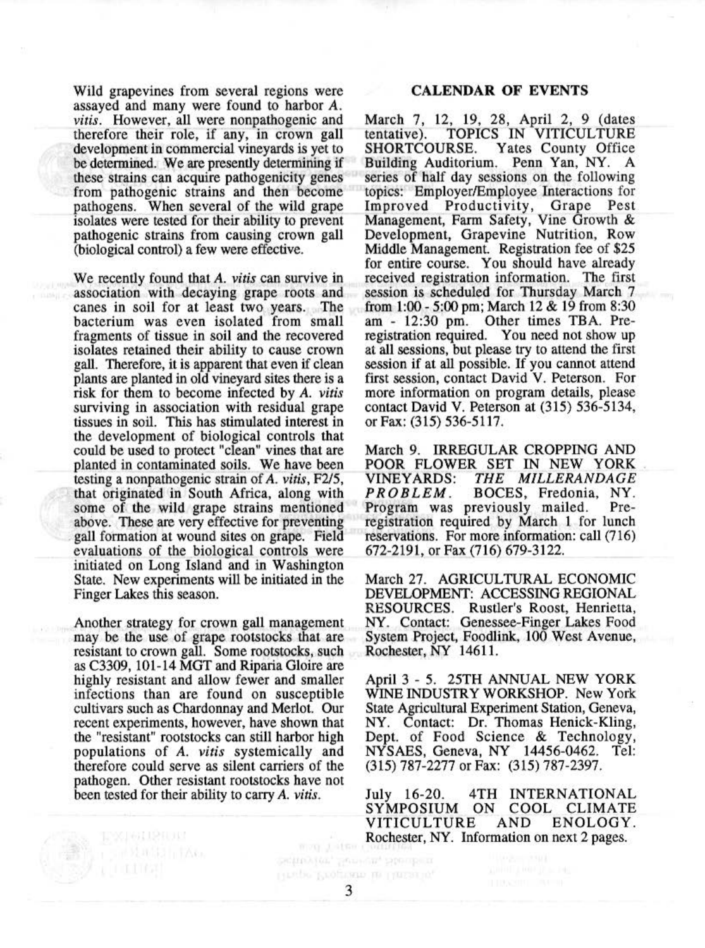Wild grapevines from several regions were assayed and many were found to harbor A. *vitis.* However, all were nonpathogenic and therefore their role, if any, in crown gall development in commercial vineyards is yet to be determined. We are presently determining if these strains can acquire pathogenicity genes from pathogenic strains and then become pathogens. When several of the wild grape isolates were tested for their ability to prevent pathogenic strains from causing crown gall (biological control) a few were effective.

We recently found that *A. vitis* can survive in association with decaying grape roots and canes in soil for at least two years. The bacterium was even isolated from small fragments of tissue in soil and the recovered isolates retained their ability to cause crown gall. Therefore, it is apparent that even if clean plants are planted in old vineyard sites there is a risk for them to become infected by *A. vitis*  surviving in association with residual grape tissues in soil. This has stimulated interest in the development of biological controls that could be used to protect "clean" vines that are planted in contaminated soils. We have been testing a nonpathogenic strain of A. *vitis,* F2!5, that originated in South Africa, along with some of the wild grape strains mentioned above. These are very effective for preventing gall formation at wound sites on grape. Field evaluations of the biological controls were initiated on Long Island and in Washington State. New experiments will be initiated in the Finger Lakes this season.

Another strategy for crown gall management may be the use of grape rootstocks that are resistant to crown gall. Some rootstocks, such as C3309, 101-14 MGT and Riparia Gloire are highly resistant and allow fewer and smaller infections than are found on susceptible cultivars such as Chardonnay and Merlot. Our recent experiments, however, have shown that the "resistant" rootstocks can still harbor high populations of A. *vitis* systemically and therefore could serve as silent carriers of the pathogen. Other resistant rootstocks have not been tested for their ability to carry A. *vi tis.* 

**TEMPLICE IN AG** 

#### CALENDAR OF EVENTS

March 7, 12, 19, 28, April 2, 9 (dates tentative). TOPICS IN VITICULTURE SHORTCOURSE. Yates County Office Building Auditorium. Penn Yan, NY. A series of half day sessions on the following topics: Employer/Employee Interactions for Improved Productivity, Grape Pest Management, Farm Safety, Vine Growth & Development, Grapevine Nutrition, Row Middle Management. Registration fee of \$25 for entire course. You should have already received registration information. The first session is scheduled for Thursday March 7 from 1:00 - 5:00 pm; March 12 & 19 from 8:30 am - 12:30 pm. Other times TBA. Preregistration required. You need not show up at all sessions, but please try to attend the first session if at all possible. If you cannot attend first session, contact David V. Peterson. For more information on program details, please contact David V. Peterson at (315) 536-5134, or Fax: (315) 536-5117.

March 9. IRREGULAR CROPPING AND POOR FLOWER SET IN NEW YORK VINEYARDS: *THE MILLERANDAGE PROBLEM.* BOCES, Fredonia, NY. registration required by March 1 for lunch reservations. For more information: call (716) 672-2191, or Fax (716) 679-3122.

March 27. AGRICULTURAL ECONOMIC DEVELOPMENT: ACCESSING REGIONAL RESOURCES. Rustler's Roost, Henrietta, NY. Contact: Genessee-Finger Lakes Food System Project, Foodlink, 100 West Avenue, Rochester, NY 14611.

April 3 - *5.* 25TH ANNUAL NEW YORK WINE INDUSTRY WORKSHOP. New York State Agricultural Experiment Station, Geneva, NY. Contact: Dr. Thomas Henick-Kiing, Dept. of Food Science & Technology, NYSAES, Geneva, NY 14456-0462. Tel: (315) 787-2277 or Fax: (315) 787-2397.

July 16-20. 4TH INTERNATIONAL<br>SYMPOSIUM ON COOL CLIMATE ON COOL CLIMATE<br>3 AND ENOLOGY. VITICULTURE Rochester, NY. Information on next 2 pages.

mon Later) Section for, Service, Stendard Περιφο Ρεομυκιο με Πατευλα,